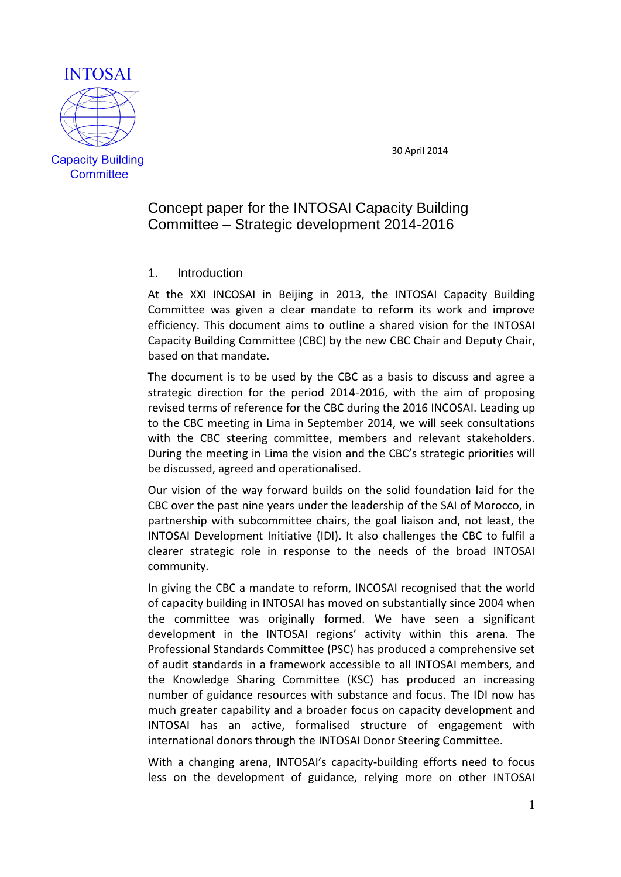

30 April 2014

# Concept paper for the INTOSAI Capacity Building Committee – Strategic development 2014-2016

### 1. Introduction

At the XXI INCOSAI in Beijing in 2013, the INTOSAI Capacity Building Committee was given a clear mandate to reform its work and improve efficiency. This document aims to outline a shared vision for the INTOSAI Capacity Building Committee (CBC) by the new CBC Chair and Deputy Chair, based on that mandate.

The document is to be used by the CBC as a basis to discuss and agree a strategic direction for the period 2014-2016, with the aim of proposing revised terms of reference for the CBC during the 2016 INCOSAI. Leading up to the CBC meeting in Lima in September 2014, we will seek consultations with the CBC steering committee, members and relevant stakeholders. During the meeting in Lima the vision and the CBC's strategic priorities will be discussed, agreed and operationalised.

Our vision of the way forward builds on the solid foundation laid for the CBC over the past nine years under the leadership of the SAI of Morocco, in partnership with subcommittee chairs, the goal liaison and, not least, the INTOSAI Development Initiative (IDI). It also challenges the CBC to fulfil a clearer strategic role in response to the needs of the broad INTOSAI community.

In giving the CBC a mandate to reform, INCOSAI recognised that the world of capacity building in INTOSAI has moved on substantially since 2004 when the committee was originally formed. We have seen a significant development in the INTOSAI regions' activity within this arena. The Professional Standards Committee (PSC) has produced a comprehensive set of audit standards in a framework accessible to all INTOSAI members, and the Knowledge Sharing Committee (KSC) has produced an increasing number of guidance resources with substance and focus. The IDI now has much greater capability and a broader focus on capacity development and INTOSAI has an active, formalised structure of engagement with international donors through the INTOSAI Donor Steering Committee.

With a changing arena, INTOSAI's capacity-building efforts need to focus less on the development of guidance, relying more on other INTOSAI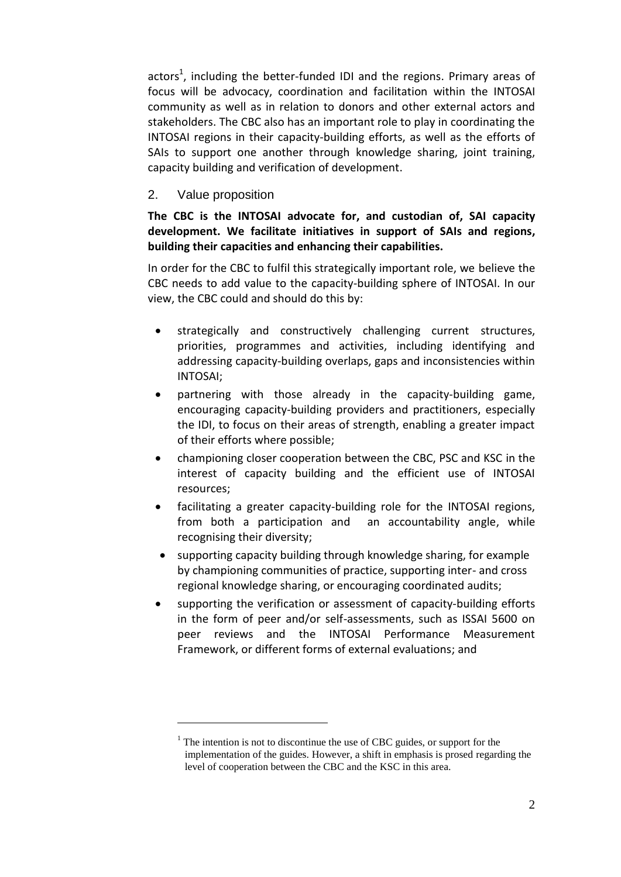actors<sup>1</sup>, including the better-funded IDI and the regions. Primary areas of focus will be advocacy, coordination and facilitation within the INTOSAI community as well as in relation to donors and other external actors and stakeholders. The CBC also has an important role to play in coordinating the INTOSAI regions in their capacity-building efforts, as well as the efforts of SAIs to support one another through knowledge sharing, joint training, capacity building and verification of development.

## 2. Value proposition

1

**The CBC is the INTOSAI advocate for, and custodian of, SAI capacity development. We facilitate initiatives in support of SAIs and regions, building their capacities and enhancing their capabilities.** 

In order for the CBC to fulfil this strategically important role, we believe the CBC needs to add value to the capacity-building sphere of INTOSAI. In our view, the CBC could and should do this by:

- strategically and constructively challenging current structures, priorities, programmes and activities, including identifying and addressing capacity-building overlaps, gaps and inconsistencies within INTOSAI;
- partnering with those already in the capacity-building game, encouraging capacity-building providers and practitioners, especially the IDI, to focus on their areas of strength, enabling a greater impact of their efforts where possible;
- championing closer cooperation between the CBC, PSC and KSC in the interest of capacity building and the efficient use of INTOSAI resources;
- facilitating a greater capacity-building role for the INTOSAI regions, from both a participation and an accountability angle, while recognising their diversity;
- supporting capacity building through knowledge sharing, for example by championing communities of practice, supporting inter- and cross regional knowledge sharing, or encouraging coordinated audits;
- supporting the verification or assessment of capacity-building efforts in the form of peer and/or self-assessments, such as ISSAI 5600 on peer reviews and the INTOSAI Performance Measurement Framework, or different forms of external evaluations; and

 $1$ . The intention is not to discontinue the use of CBC guides, or support for the implementation of the guides. However, a shift in emphasis is prosed regarding the level of cooperation between the CBC and the KSC in this area.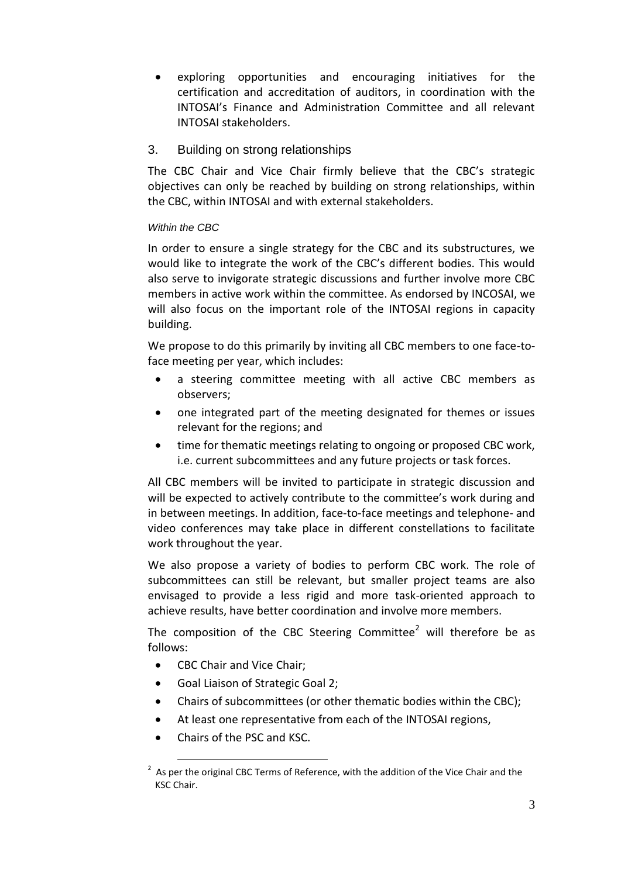- exploring opportunities and encouraging initiatives for the certification and accreditation of auditors, in coordination with the INTOSAI's Finance and Administration Committee and all relevant INTOSAI stakeholders.
- 3. Building on strong relationships

The CBC Chair and Vice Chair firmly believe that the CBC's strategic objectives can only be reached by building on strong relationships, within the CBC, within INTOSAI and with external stakeholders.

### *Within the CBC*

In order to ensure a single strategy for the CBC and its substructures, we would like to integrate the work of the CBC's different bodies. This would also serve to invigorate strategic discussions and further involve more CBC members in active work within the committee. As endorsed by INCOSAI, we will also focus on the important role of the INTOSAI regions in capacity building.

We propose to do this primarily by inviting all CBC members to one face-toface meeting per year, which includes:

- a steering committee meeting with all active CBC members as observers;
- one integrated part of the meeting designated for themes or issues relevant for the regions; and
- time for thematic meetings relating to ongoing or proposed CBC work, i.e. current subcommittees and any future projects or task forces.

All CBC members will be invited to participate in strategic discussion and will be expected to actively contribute to the committee's work during and in between meetings. In addition, face-to-face meetings and telephone- and video conferences may take place in different constellations to facilitate work throughout the year.

We also propose a variety of bodies to perform CBC work. The role of subcommittees can still be relevant, but smaller project teams are also envisaged to provide a less rigid and more task-oriented approach to achieve results, have better coordination and involve more members.

The composition of the CBC Steering Committee<sup>2</sup> will therefore be as follows:

- CBC Chair and Vice Chair;
- Goal Liaison of Strategic Goal 2;
- Chairs of subcommittees (or other thematic bodies within the CBC);
- At least one representative from each of the INTOSAI regions,
- Chairs of the PSC and KSC.

1

 $2$  As per the original CBC Terms of Reference, with the addition of the Vice Chair and the KSC Chair.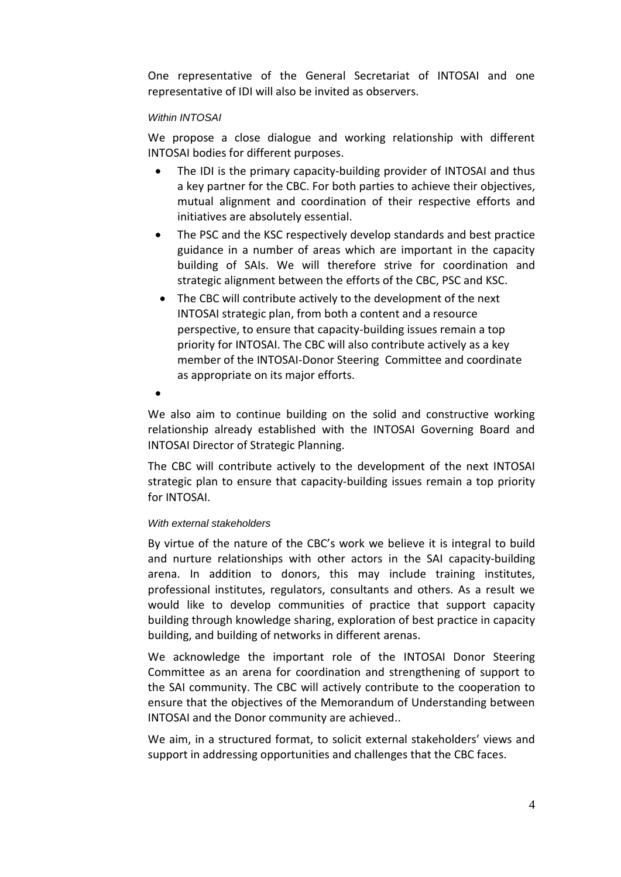One representative of the General Secretariat of INTOSAI and one representative of IDI will also be invited as observers.

#### *Within INTOSAI*

We propose a close dialogue and working relationship with different INTOSAI bodies for different purposes.

- The IDI is the primary capacity-building provider of INTOSAI and thus a key partner for the CBC. For both parties to achieve their objectives, mutual alignment and coordination of their respective efforts and initiatives are absolutely essential.
- The PSC and the KSC respectively develop standards and best practice guidance in a number of areas which are important in the capacity building of SAIs. We will therefore strive for coordination and strategic alignment between the efforts of the CBC, PSC and KSC.
- The CBC will contribute actively to the development of the next INTOSAI strategic plan, from both a content and a resource perspective, to ensure that capacity-building issues remain a top priority for INTOSAI. The CBC will also contribute actively as a key member of the INTOSAI-Donor Steering Committee and coordinate as appropriate on its major efforts.
- $\bullet$

We also aim to continue building on the solid and constructive working relationship already established with the INTOSAI Governing Board and INTOSAI Director of Strategic Planning.

The CBC will contribute actively to the development of the next INTOSAI strategic plan to ensure that capacity-building issues remain a top priority for INTOSAI.

#### *With external stakeholders*

By virtue of the nature of the CBC's work we believe it is integral to build and nurture relationships with other actors in the SAI capacity-building arena. In addition to donors, this may include training institutes, professional institutes, regulators, consultants and others. As a result we would like to develop communities of practice that support capacity building through knowledge sharing, exploration of best practice in capacity building, and building of networks in different arenas.

We acknowledge the important role of the INTOSAI Donor Steering Committee as an arena for coordination and strengthening of support to the SAI community. The CBC will actively contribute to the cooperation to ensure that the objectives of the Memorandum of Understanding between INTOSAI and the Donor community are achieved..

We aim, in a structured format, to solicit external stakeholders' views and support in addressing opportunities and challenges that the CBC faces.